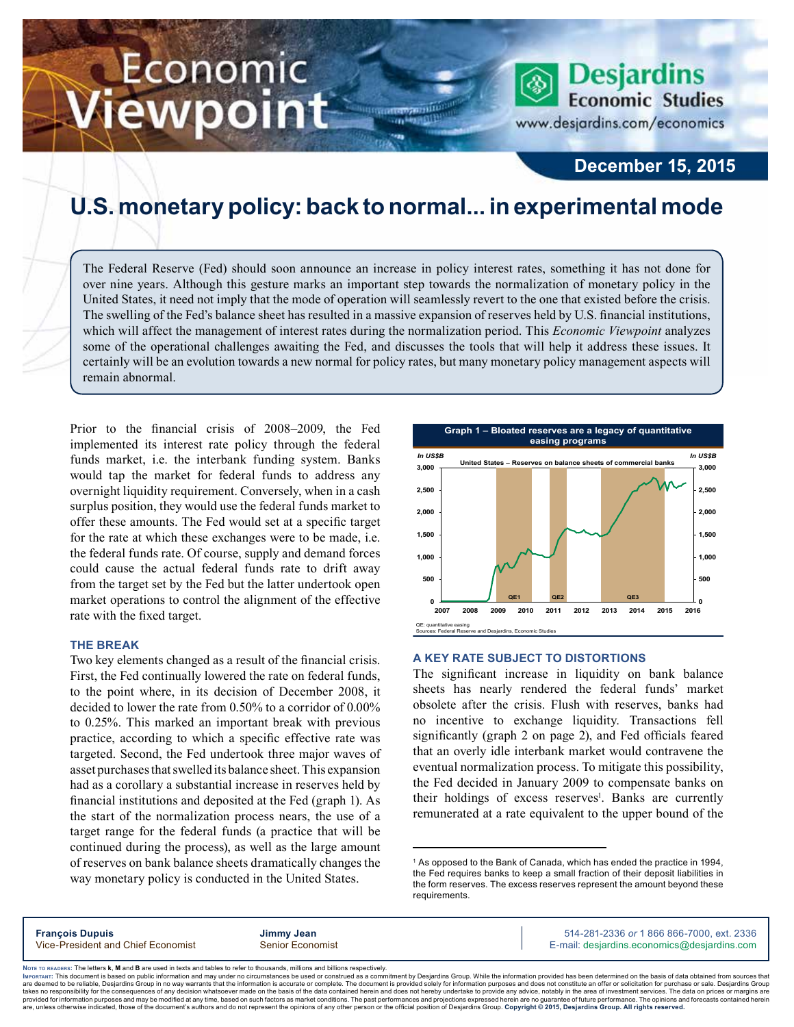# Economic iewpoint

www.desjardins.com/economics

**Desjardins Economic Studies** 

### **December 15, 2015**

## **U.S. monetary policy: back to normal... in experimental mode**

m

The Federal Reserve (Fed) should soon announce an increase in policy interest rates, something it has not done for over nine years. Although this gesture marks an important step towards the normalization of monetary policy in the United States, it need not imply that the mode of operation will seamlessly revert to the one that existed before the crisis. The swelling of the Fed's balance sheet has resulted in a massive expansion of reserves held by U.S. financial institutions, which will affect the management of interest rates during the normalization period. This *Economic Viewpoint* analyzes some of the operational challenges awaiting the Fed, and discusses the tools that will help it address these issues. It certainly will be an evolution towards a new normal for policy rates, but many monetary policy management aspects will remain abnormal.

Prior to the financial crisis of 2008–2009, the Fed implemented its interest rate policy through the federal funds market, i.e. the interbank funding system. Banks would tap the market for federal funds to address any overnight liquidity requirement. Conversely, when in a cash surplus position, they would use the federal funds market to offer these amounts. The Fed would set at a specific target for the rate at which these exchanges were to be made, i.e. the federal funds rate. Of course, supply and demand forces could cause the actual federal funds rate to drift away from the target set by the Fed but the latter undertook open market operations to control the alignment of the effective rate with the fixed target.

#### **The break**

Two key elements changed as a result of the financial crisis. First, the Fed continually lowered the rate on federal funds, to the point where, in its decision of December 2008, it decided to lower the rate from 0.50% to a corridor of 0.00% to 0.25%. This marked an important break with previous practice, according to which a specific effective rate was targeted. Second, the Fed undertook three major waves of asset purchases that swelled its balance sheet. This expansion had as a corollary a substantial increase in reserves held by financial institutions and deposited at the Fed (graph 1). As the start of the normalization process nears, the use of a target range for the federal funds (a practice that will be continued during the process), as well as the large amount of reserves on bank balance sheets dramatically changes the way monetary policy is conducted in the United States.



#### **A key rate subject to distortions**

The significant increase in liquidity on bank balance sheets has nearly rendered the federal funds' market obsolete after the crisis. Flush with reserves, banks had no incentive to exchange liquidity. Transactions fell significantly (graph 2 on page 2), and Fed officials feared that an overly idle interbank market would contravene the eventual normalization process. To mitigate this possibility, the Fed decided in January 2009 to compensate banks on their holdings of excess reserves<sup>1</sup>. Banks are currently remunerated at a rate equivalent to the upper bound of the

<sup>1</sup> As opposed to the Bank of Canada, which has ended the practice in 1994, the Fed requires banks to keep a small fraction of their deposit liabilities in the form reserves. The excess reserves represent the amount beyond these requirements.

|--|

Noте то келоекs: The letters **k, M** and **B** are used in texts and tables to refer to thousands, millions and billions respectively.<br>Імроктлит: This document is based on public information and may under no circumstances be are deemed to be reliable. Desiardins Group in no way warrants that the information is accurate or complete. The document is provided solely for information purposes and does not constitute an offer or solicitation for pur takes no responsibility for the consequences of any decision whatsoever made on the basis of the data contained herein and does not hereby undertake to provide any advice, notably in the area of investment services. The da .<br>are, unless otherwise indicated, those of the document's authors and do not represent the opinions of any other person or the official position of Desjardins Group. Copyright © 2015, Desjardins Group. All rights reserve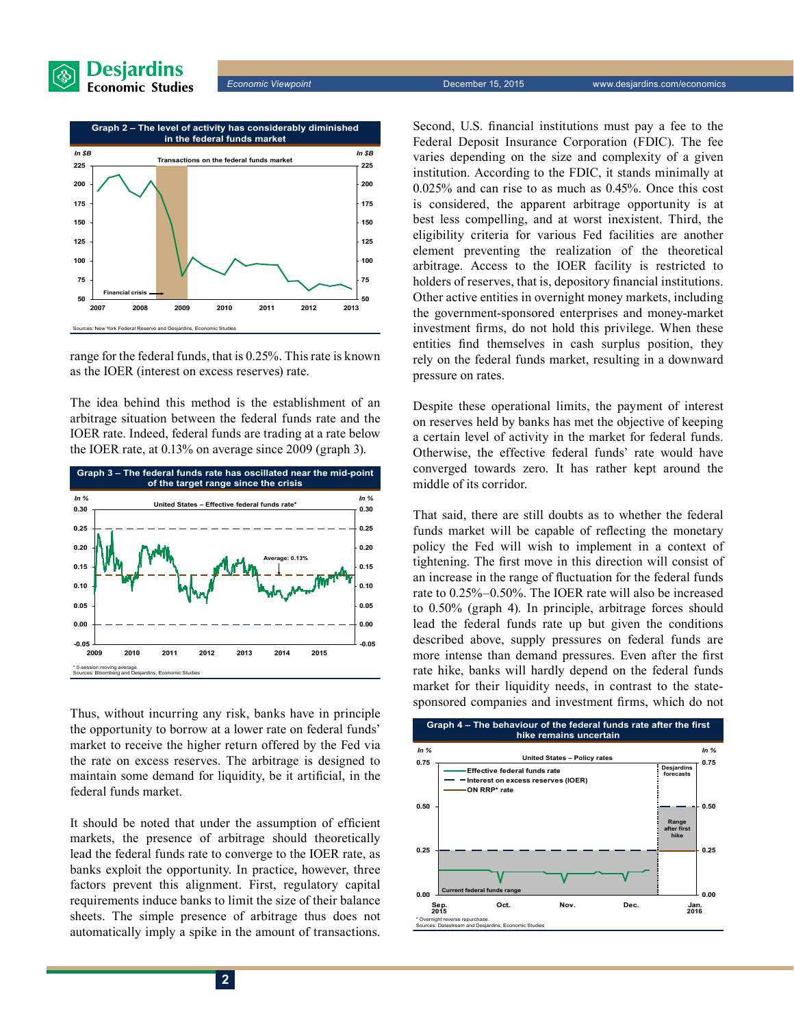



range for the federal funds, that is 0.25%. This rate is known as the IOER (interest on excess reserves) rate.

The idea behind this method is the establishment of an arbitrage situation between the federal funds rate and the IOER rate. Indeed, federal funds are trading at a rate below the IOER rate, at 0.13% on average since 2009 (graph 3).



Thus, without incurring any risk, banks have in principle the opportunity to borrow at a lower rate on federal funds' market to receive the higher return offered by the Fed via the rate on excess reserves. The arbitrage is designed to maintain some demand for liquidity, be it artificial, in the federal funds market.

It should be noted that under the assumption of efficient markets, the presence of arbitrage should theoretically lead the federal funds rate to converge to the IOER rate, as banks exploit the opportunity. In practice, however, three factors prevent this alignment. First, regulatory capital requirements induce banks to limit the size of their balance sheets. The simple presence of arbitrage thus does not automatically imply a spike in the amount of transactions.

Second, U.S. financial institutions must pay a fee to the Federal Deposit Insurance Corporation (FDIC). The fee varies depending on the size and complexity of a given institution. According to the FDIC, it stands minimally at 0.025% and can rise to as much as 0.45%. Once this cost is considered, the apparent arbitrage opportunity is at best less compelling, and at worst inexistent. Third, the eligibility criteria for various Fed facilities are another element preventing the realization of the theoretical arbitrage. Access to the IOER facility is restricted to holders of reserves, that is, depository financial institutions. Other active entities in overnight money markets, including the government-sponsored enterprises and money-market investment firms, do not hold this privilege. When these entities find themselves in cash surplus position, they rely on the federal funds market, resulting in a downward pressure on rates.

Despite these operational limits, the payment of interest on reserves held by banks has met the objective of keeping a certain level of activity in the market for federal funds. Otherwise, the effective federal funds' rate would have converged towards zero. It has rather kept around the middle of its corridor.

That said, there are still doubts as to whether the federal funds market will be capable of reflecting the monetary policy the Fed will wish to implement in a context of tightening. The first move in this direction will consist of an increase in the range of fluctuation for the federal funds rate to 0.25%–0.50%. The IOER rate will also be increased to 0.50% (graph 4). In principle, arbitrage forces should lead the federal funds rate up but given the conditions described above, supply pressures on federal funds are more intense than demand pressures. Even after the first rate hike, banks will hardly depend on the federal funds market for their liquidity needs, in contrast to the statesponsored companies and investment firms, which do not

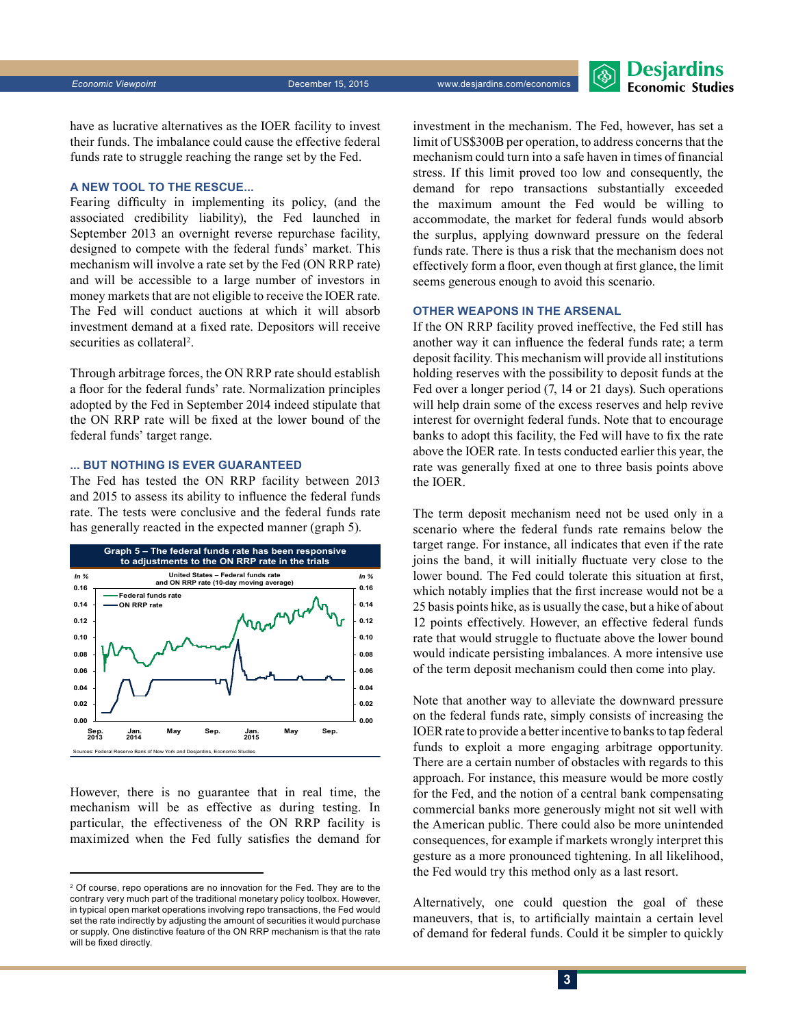**Desjardins Economic Studies** 

have as lucrative alternatives as the IOER facility to invest their funds. The imbalance could cause the effective federal funds rate to struggle reaching the range set by the Fed.

#### **A new tool to the rescue...**

Fearing difficulty in implementing its policy, (and the associated credibility liability), the Fed launched in September 2013 an overnight reverse repurchase facility, designed to compete with the federal funds' market. This mechanism will involve a rate set by the Fed (ON RRP rate) and will be accessible to a large number of investors in money markets that are not eligible to receive the IOER rate. The Fed will conduct auctions at which it will absorb investment demand at a fixed rate. Depositors will receive securities as collateral<sup>2</sup>.

Through arbitrage forces, the ON RRP rate should establish a floor for the federal funds' rate. Normalization principles adopted by the Fed in September 2014 indeed stipulate that the ON RRP rate will be fixed at the lower bound of the federal funds' target range.

#### **... but nothing is ever guaranteed**

The Fed has tested the ON RRP facility between 2013 and 2015 to assess its ability to influence the federal funds rate. The tests were conclusive and the federal funds rate has generally reacted in the expected manner (graph 5).



However, there is no guarantee that in real time, the mechanism will be as effective as during testing. In particular, the effectiveness of the ON RRP facility is maximized when the Fed fully satisfies the demand for investment in the mechanism. The Fed, however, has set a limit of US\$300B per operation, to address concerns that the mechanism could turn into a safe haven in times of financial stress. If this limit proved too low and consequently, the demand for repo transactions substantially exceeded the maximum amount the Fed would be willing to accommodate, the market for federal funds would absorb the surplus, applying downward pressure on the federal funds rate. There is thus a risk that the mechanism does not effectively form a floor, even though at first glance, the limit seems generous enough to avoid this scenario.

#### **Other weapons in the arsenal**

If the ON RRP facility proved ineffective, the Fed still has another way it can influence the federal funds rate; a term deposit facility. This mechanism will provide all institutions holding reserves with the possibility to deposit funds at the Fed over a longer period (7, 14 or 21 days). Such operations will help drain some of the excess reserves and help revive interest for overnight federal funds. Note that to encourage banks to adopt this facility, the Fed will have to fix the rate above the IOER rate. In tests conducted earlier this year, the rate was generally fixed at one to three basis points above the IOER.

The term deposit mechanism need not be used only in a scenario where the federal funds rate remains below the target range. For instance, all indicates that even if the rate joins the band, it will initially fluctuate very close to the lower bound. The Fed could tolerate this situation at first, which notably implies that the first increase would not be a 25 basis points hike, as is usually the case, but a hike of about 12 points effectively. However, an effective federal funds rate that would struggle to fluctuate above the lower bound would indicate persisting imbalances. A more intensive use of the term deposit mechanism could then come into play.

Note that another way to alleviate the downward pressure on the federal funds rate, simply consists of increasing the IOERrate to provide a better incentive to banks to tap federal funds to exploit a more engaging arbitrage opportunity. There are a certain number of obstacles with regards to this approach. For instance, this measure would be more costly for the Fed, and the notion of a central bank compensating commercial banks more generously might not sit well with the American public. There could also be more unintended consequences, for example if markets wrongly interpret this gesture as a more pronounced tightening. In all likelihood, the Fed would try this method only as a last resort.

Alternatively, one could question the goal of these maneuvers, that is, to artificially maintain a certain level of demand for federal funds. Could it be simpler to quickly

<sup>2</sup> Of course, repo operations are no innovation for the Fed. They are to the contrary very much part of the traditional monetary policy toolbox. However, in typical open market operations involving repo transactions, the Fed would set the rate indirectly by adjusting the amount of securities it would purchase or supply. One distinctive feature of the ON RRP mechanism is that the rate will be fixed directly.